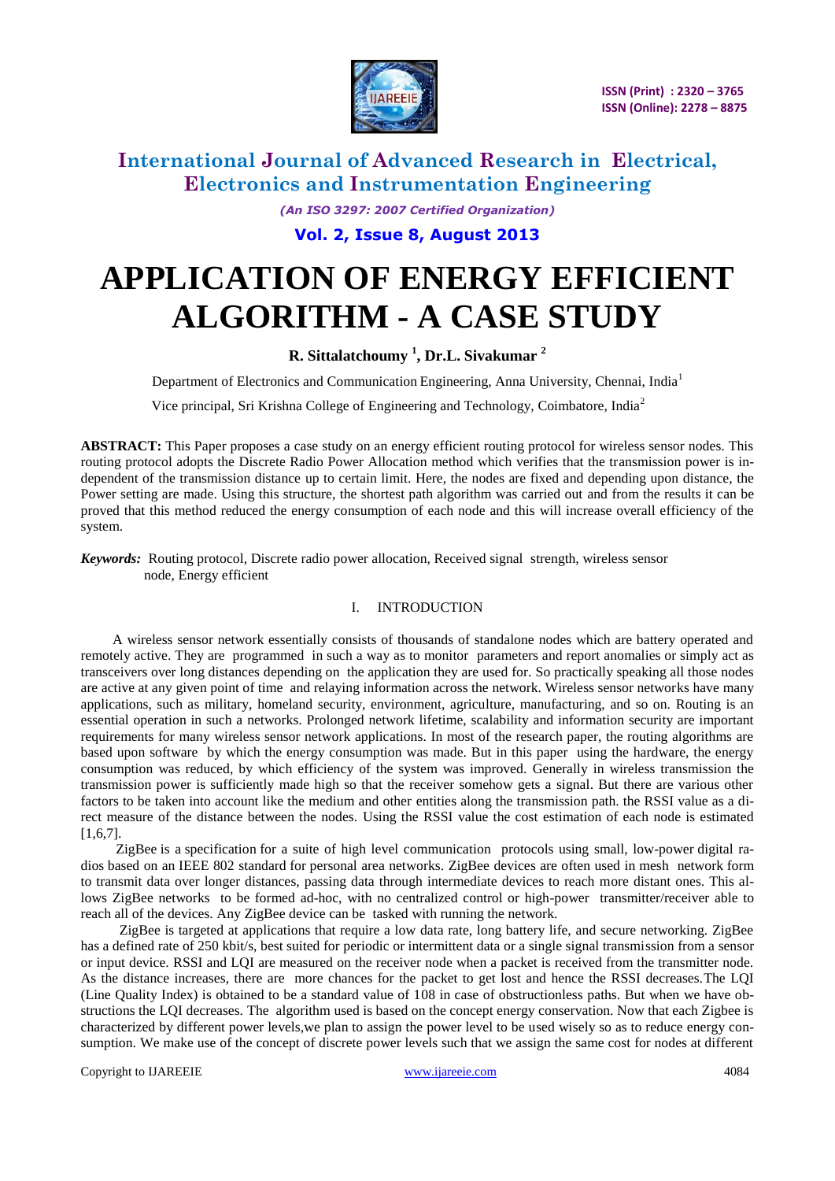

*(An ISO 3297: 2007 Certified Organization)*

**Vol. 2, Issue 8, August 2013**

# **APPLICATION OF ENERGY EFFICIENT ALGORITHM - A CASE STUDY**

#### **R. Sittalatchoumy <sup>1</sup> , Dr.L. Sivakumar <sup>2</sup>**

Department of Electronics and Communication Engineering, Anna University, Chennai, India<sup>1</sup>

Vice principal, Sri Krishna College of Engineering and Technology, Coimbatore, India<sup>2</sup>

**ABSTRACT:** This Paper proposes a case study on an energy efficient routing protocol for wireless sensor nodes. This routing protocol adopts the Discrete Radio Power Allocation method which verifies that the transmission power is independent of the transmission distance up to certain limit. Here, the nodes are fixed and depending upon distance, the Power setting are made. Using this structure, the shortest path algorithm was carried out and from the results it can be proved that this method reduced the energy consumption of each node and this will increase overall efficiency of the system.

*Keywords:* Routing protocol, Discrete radio power allocation, Received signal strength, wireless sensor node, Energy efficient

#### I. INTRODUCTION

 A wireless sensor network essentially consists of thousands of standalone nodes which are battery operated and remotely active. They are programmed in such a way as to monitor parameters and report anomalies or simply act as transceivers over long distances depending on the application they are used for. So practically speaking all those nodes are active at any given point of time and relaying information across the network. Wireless sensor networks have many applications, such as military, homeland security, environment, agriculture, manufacturing, and so on. Routing is an essential operation in such a networks. Prolonged network lifetime, scalability and information security are important requirements for many wireless sensor network applications. In most of the research paper, the routing algorithms are based upon software by which the energy consumption was made. But in this paper using the hardware, the energy consumption was reduced, by which efficiency of the system was improved. Generally in wireless transmission the transmission power is sufficiently made high so that the receiver somehow gets a signal. But there are various other factors to be taken into account like the medium and other entities along the transmission path. the RSSI value as a direct measure of the distance between the nodes. Using the RSSI value the cost estimation of each node is estimated  $[1,6,7]$ .

 ZigBee is a specification for a suite of high level communication protocols using small, low-power digital radios based on an IEEE 802 standard for personal area networks. ZigBee devices are often used in mesh network form to transmit data over longer distances, passing data through intermediate devices to reach more distant ones. This allows ZigBee networks to be formed ad-hoc, with no centralized control or high-power transmitter/receiver able to reach all of the devices. Any ZigBee device can be tasked with running the network.

 ZigBee is targeted at applications that require a low data rate, long battery life, and secure networking. ZigBee has a defined rate of 250 kbit/s, best suited for periodic or intermittent data or a single signal transmission from a sensor or input device. RSSI and LQI are measured on the receiver node when a packet is received from the transmitter node. As the distance increases, there are more chances for the packet to get lost and hence the RSSI decreases.The LQI (Line Quality Index) is obtained to be a standard value of 108 in case of obstructionless paths. But when we have obstructions the LQI decreases. The algorithm used is based on the concept energy conservation. Now that each Zigbee is characterized by different power levels,we plan to assign the power level to be used wisely so as to reduce energy consumption. We make use of the concept of discrete power levels such that we assign the same cost for nodes at different

Copyright to IJAREEIE and the community of the contract [www.ijareeie.com](http://www.ijareeie.com/) 4084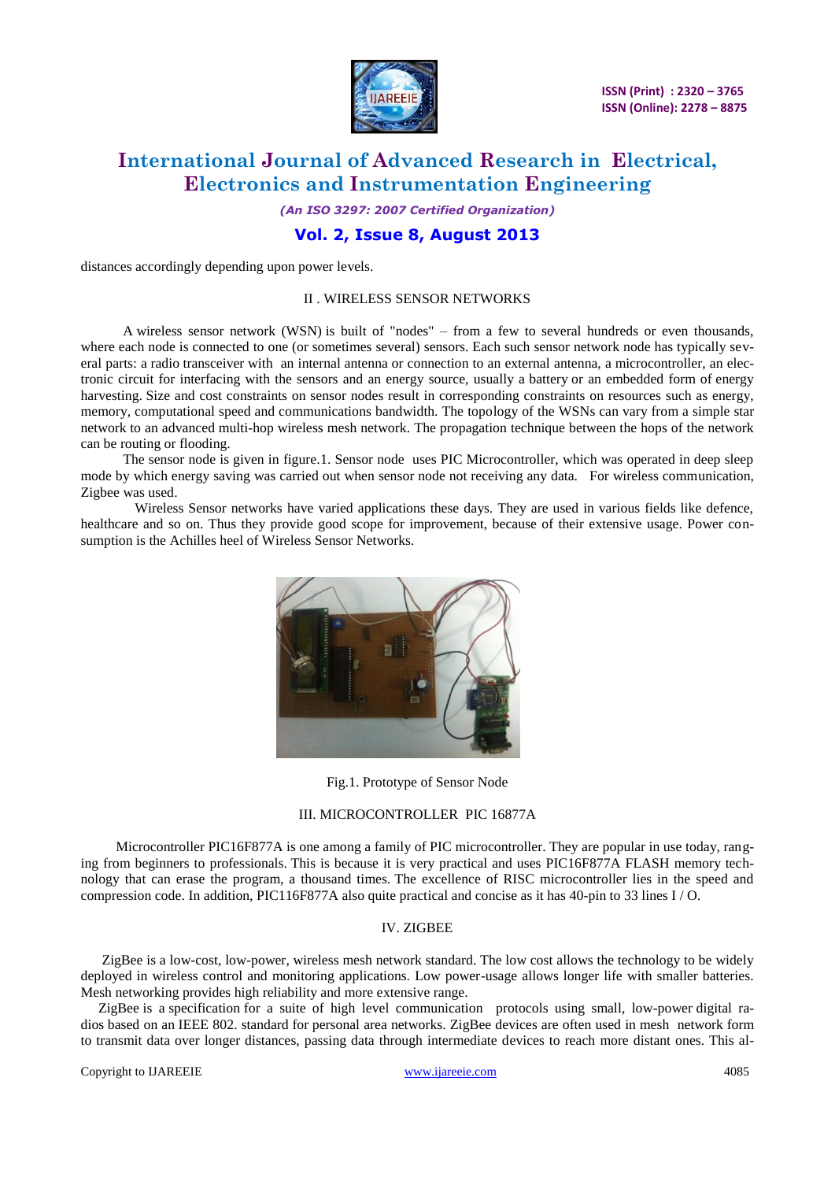

# **International Journal of Advanced Research in Electrical, Electronics and Instrumentation Engineering**

*(An ISO 3297: 2007 Certified Organization)*

### **Vol. 2, Issue 8, August 2013**

distances accordingly depending upon power levels.

#### II . WIRELESS SENSOR NETWORKS

 A wireless sensor network (WSN) is built of "nodes" – from a few to several hundreds or even thousands, where each node is connected to one (or sometimes several) sensors. Each such sensor network node has typically several parts: a [radio](http://en.wikipedia.org/wiki/Radio) [transceiver](http://en.wikipedia.org/wiki/Transceiver) with an internal [antenna](http://en.wikipedia.org/wiki/Antenna_(radio)) or connection to an external antenna, a [microcontroller,](http://en.wikipedia.org/wiki/Microcontroller) an electronic circuit for interfacing with the sensors and an energy source, usually a [battery](http://en.wikipedia.org/wiki/Battery_(electricity)) or an embedded form of [energy](http://en.wikipedia.org/wiki/Energy_harvesting)  [harvesting.](http://en.wikipedia.org/wiki/Energy_harvesting) Size and cost constraints on sensor nodes result in corresponding constraints on resources such as energy, memory, computational speed and communications bandwidth. The topology of the WSNs can vary from a simple [star](http://en.wikipedia.org/wiki/Star_network)  [network](http://en.wikipedia.org/wiki/Star_network) to an advanced [multi-hop](http://en.wikipedia.org/wiki/Mesh_networking) [wireless mesh network.](http://en.wikipedia.org/wiki/Wireless_mesh_network) The propagation technique between the hops of the network can be routing or flooding.

 The sensor node is given in figure.1. Sensor node uses PIC Microcontroller, which was operated in deep sleep mode by which energy saving was carried out when sensor node not receiving any data. For wireless communication, Zigbee was used.

Wireless Sensor networks have varied applications these days. They are used in various fields like defence, healthcare and so on. Thus they provide good scope for improvement, because of their extensive usage. Power consumption is the Achilles heel of Wireless Sensor Networks.



Fig.1. Prototype of Sensor Node

#### III. MICROCONTROLLER PIC 16877A

 Microcontroller PIC16F877A is one among a family of PIC microcontroller. They are popular in use today, ranging from beginners to professionals. This is because it is very practical and uses PIC16F877A FLASH memory technology that can erase the program, a thousand times. The excellence of RISC microcontroller lies in the speed and compression code. In addition, PIC116F877A also quite practical and concise as it has 40-pin to 33 lines I / O.

#### IV. ZIGBEE

 ZigBee is a low-cost, low-power, [wireless mesh network](http://en.wikipedia.org/wiki/Wireless_mesh_network) standard. The low cost allows the technology to be widely deployed in wireless control and monitoring applications. Low power-usage allows longer life with smaller batteries. Mesh networking provides high reliability and more extensive range.

 ZigBee is a specification for a suite of high level communication protocols using small, low-power digital radios based on an IEEE 802. standard for personal area networks. ZigBee devices are often used in mesh network form to transmit data over longer distances, passing data through intermediate devices to reach more distant ones. This al-

Copyright to IJAREEIE [www.ijareeie.com](http://www.ijareeie.com/) 4085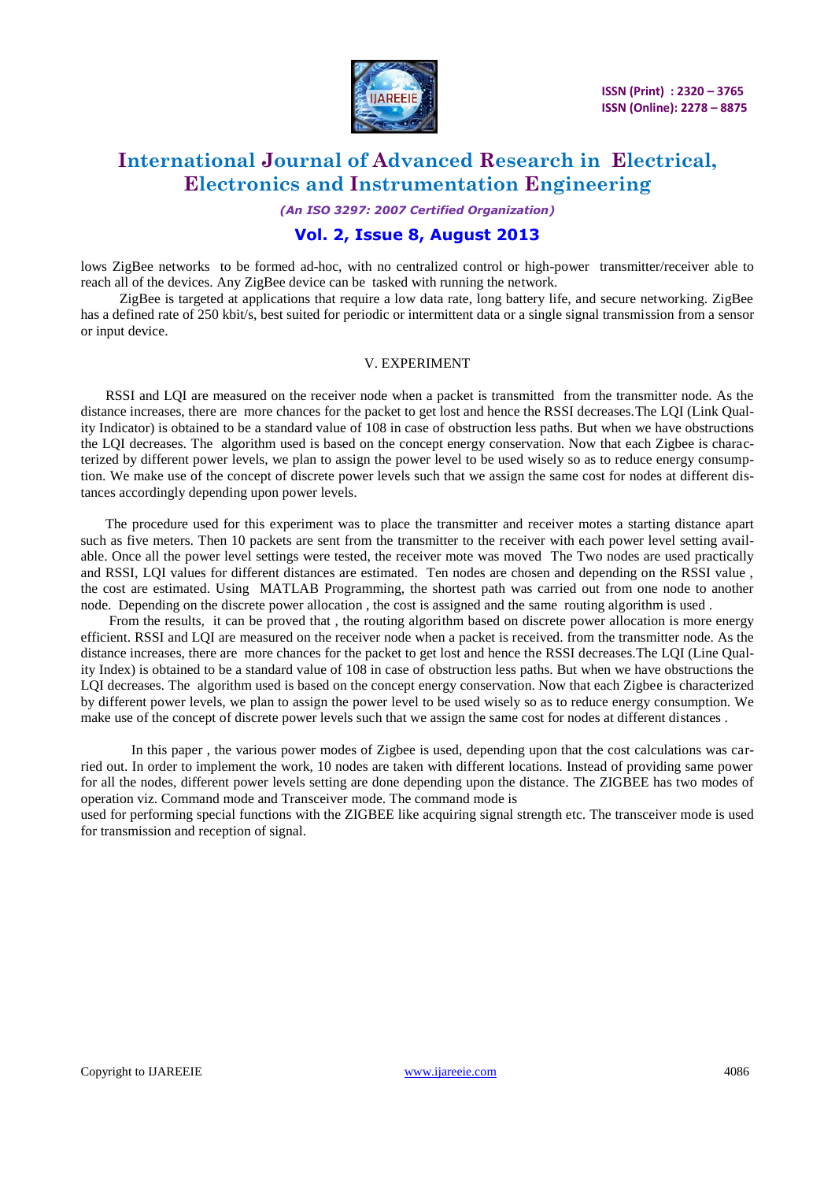

## **International Journal of Advanced Research in Electrical, Electronics and Instrumentation Engineering**

*(An ISO 3297: 2007 Certified Organization)*

#### **Vol. 2, Issue 8, August 2013**

lows ZigBee networks to be formed ad-hoc, with no centralized control or high-power transmitter/receiver able to reach all of the devices. Any ZigBee device can be tasked with running the network.

 ZigBee is targeted at applications that require a low data rate, long battery life, and secure networking. ZigBee has a defined rate of 250 kbit/s, best suited for periodic or intermittent data or a single signal transmission from a sensor or input device.

#### V. EXPERIMENT

 RSSI and LQI are measured on the receiver node when a packet is transmitted from the transmitter node. As the distance increases, there are more chances for the packet to get lost and hence the RSSI decreases.The LQI (Link Quality Indicator) is obtained to be a standard value of 108 in case of obstruction less paths. But when we have obstructions the LQI decreases. The algorithm used is based on the concept energy conservation. Now that each Zigbee is characterized by different power levels, we plan to assign the power level to be used wisely so as to reduce energy consumption. We make use of the concept of discrete power levels such that we assign the same cost for nodes at different distances accordingly depending upon power levels.

 The procedure used for this experiment was to place the transmitter and receiver motes a starting distance apart such as five meters. Then 10 packets are sent from the transmitter to the receiver with each power level setting available. Once all the power level settings were tested, the receiver mote was moved The Two nodes are used practically and RSSI, LQI values for different distances are estimated. Ten nodes are chosen and depending on the RSSI value , the cost are estimated. Using MATLAB Programming, the shortest path was carried out from one node to another node. Depending on the discrete power allocation , the cost is assigned and the same routing algorithm is used .

 From the results, it can be proved that , the routing algorithm based on discrete power allocation is more energy efficient. RSSI and LQI are measured on the receiver node when a packet is received. from the transmitter node. As the distance increases, there are more chances for the packet to get lost and hence the RSSI decreases.The LQI (Line Quality Index) is obtained to be a standard value of 108 in case of obstruction less paths. But when we have obstructions the LQI decreases. The algorithm used is based on the concept energy conservation. Now that each Zigbee is characterized by different power levels, we plan to assign the power level to be used wisely so as to reduce energy consumption. We make use of the concept of discrete power levels such that we assign the same cost for nodes at different distances .

In this paper , the various power modes of Zigbee is used, depending upon that the cost calculations was carried out. In order to implement the work, 10 nodes are taken with different locations. Instead of providing same power for all the nodes, different power levels setting are done depending upon the distance. The ZIGBEE has two modes of operation viz. Command mode and Transceiver mode. The command mode is

used for performing special functions with the ZIGBEE like acquiring signal strength etc. The transceiver mode is used for transmission and reception of signal.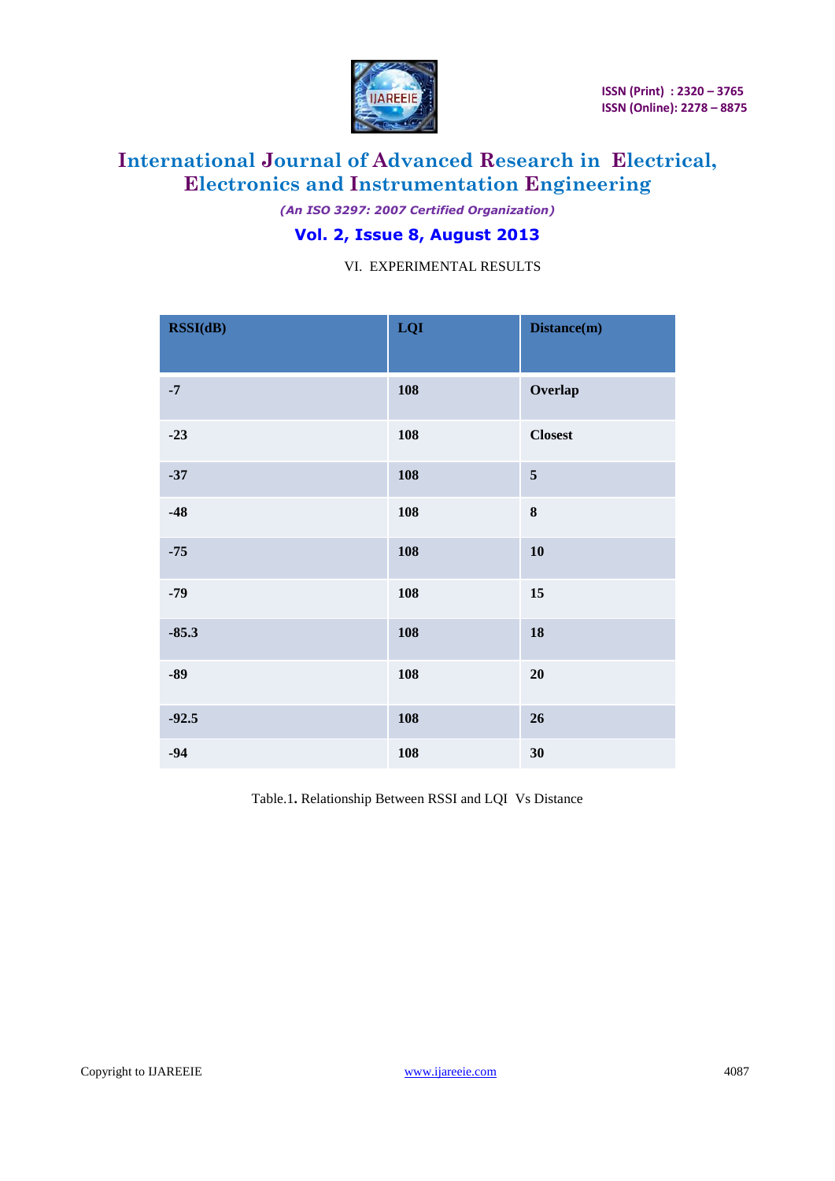

*(An ISO 3297: 2007 Certified Organization)*

### **Vol. 2, Issue 8, August 2013**

VI. EXPERIMENTAL RESULTS

| RSSI(dB) | LQI | Distance(m)    |
|----------|-----|----------------|
| $-7$     | 108 | Overlap        |
| $-23$    | 108 | <b>Closest</b> |
| $-37$    | 108 | 5              |
| $-48$    | 108 | 8              |
| $-75$    | 108 | 10             |
| $-79$    | 108 | 15             |
| $-85.3$  | 108 | 18             |
| $-89$    | 108 | 20             |
| $-92.5$  | 108 | 26             |
| $-94$    | 108 | 30             |

Table.1**.** Relationship Between RSSI and LQI Vs Distance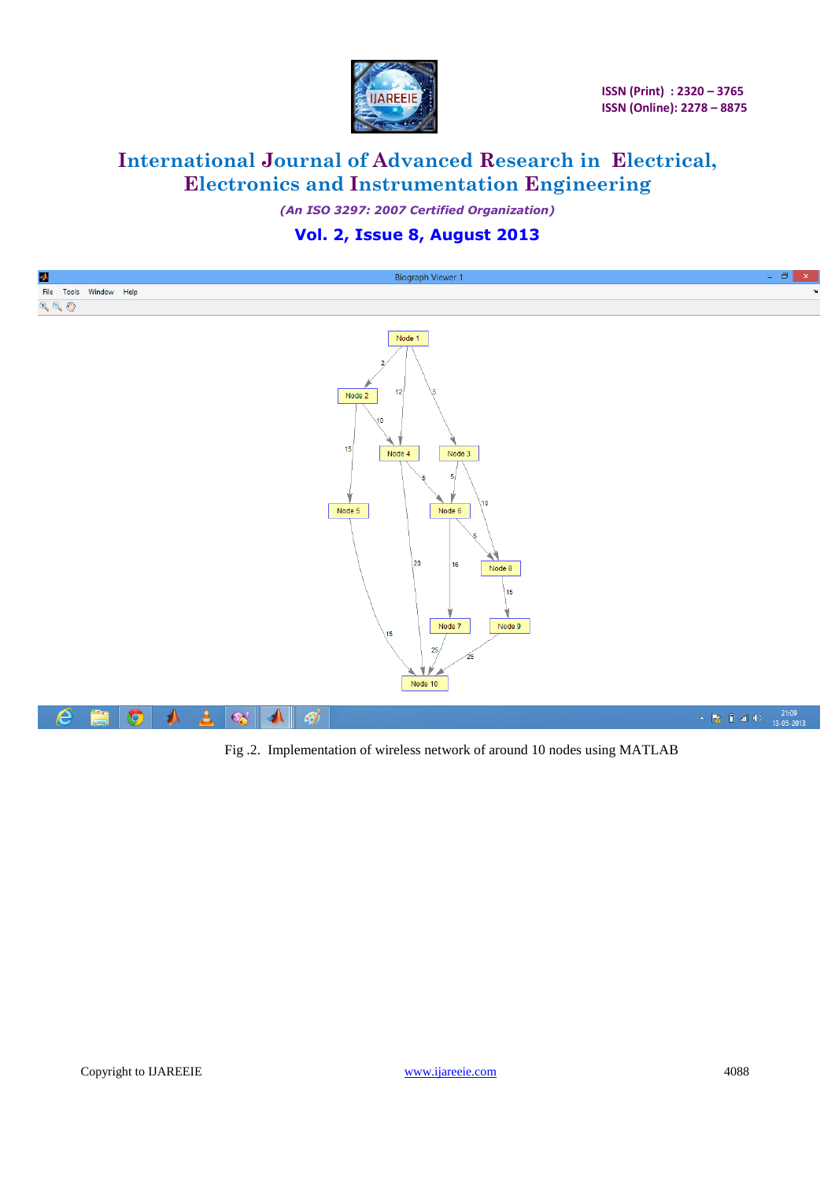

# **International Journal of Advanced Research in Electrical, Electronics and Instrumentation Engineering**

*(An ISO 3297: 2007 Certified Organization)*

### **Vol. 2, Issue 8, August 2013**

| Ą<br><b>Biograph Viewer 1</b>                                                                                                                                                                                                                               | $ \Box$ $\times$                                      |
|-------------------------------------------------------------------------------------------------------------------------------------------------------------------------------------------------------------------------------------------------------------|-------------------------------------------------------|
| File Tools Window Help                                                                                                                                                                                                                                      | $\sim$                                                |
|                                                                                                                                                                                                                                                             |                                                       |
| $\mathcal{P}_\text{c} \in \mathcal{P}_\text{c}$<br>Node 1<br>12<br>s<br>Node 2<br>10<br>15<br>Node 4<br>Node 3<br>-5<br>10 <sub>10</sub><br>Node 5<br>Node 6<br>5<br>20<br>16<br>Node 8<br>15<br>Node 7<br>Node 9<br>15<br>25 <sub>1</sub><br>25<br>Node 10 |                                                       |
| الح<br>$\mathbf{e}$<br>Ë<br>e<br>$\bullet$<br>$\mathcal{L}$<br>$\rightarrow$<br>$\blacktriangle$ $\parallel$                                                                                                                                                | A <b>PE</b> and <b>(b)</b> $\frac{21:09}{13-05-2013}$ |

Fig .2. Implementation of wireless network of around 10 nodes using MATLAB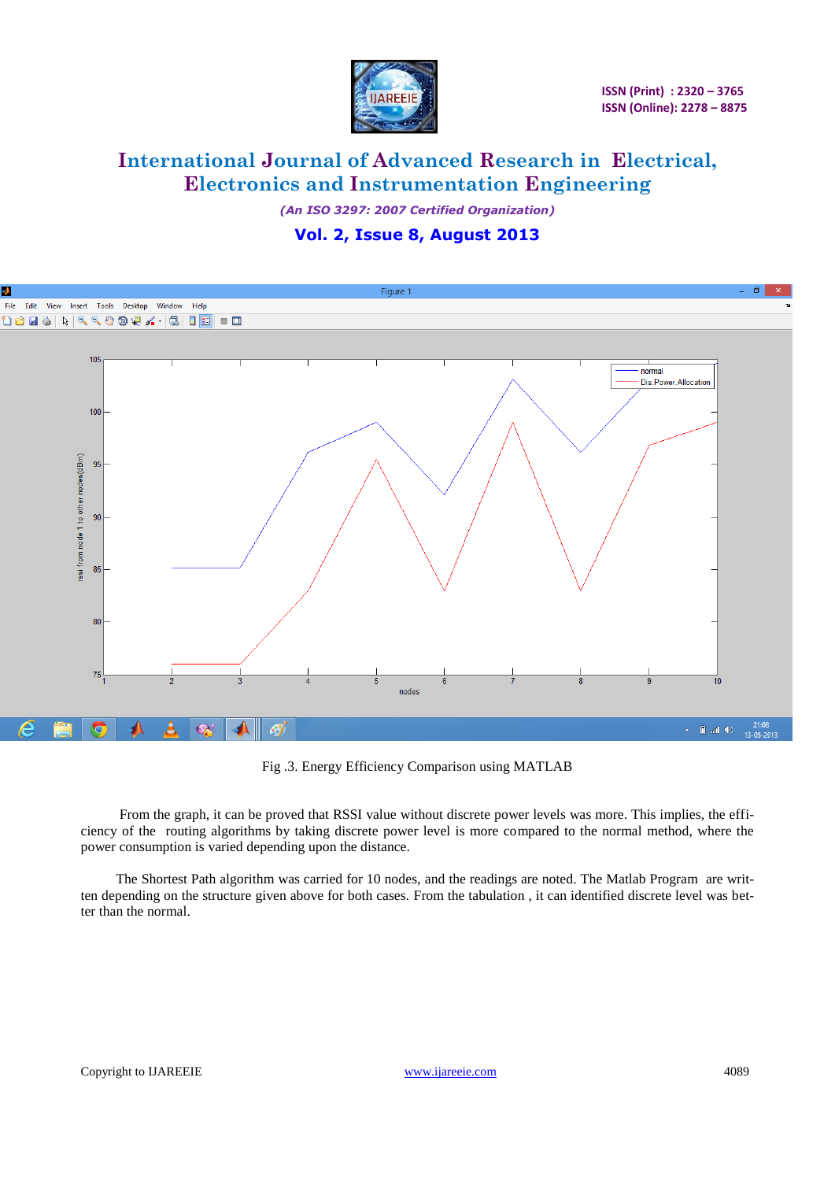

*(An ISO 3297: 2007 Certified Organization)*

### **Vol. 2, Issue 8, August 2013**



Fig .3. Energy Efficiency Comparison using MATLAB

 From the graph, it can be proved that RSSI value without discrete power levels was more. This implies, the efficiency of the routing algorithms by taking discrete power level is more compared to the normal method, where the power consumption is varied depending upon the distance.

 The Shortest Path algorithm was carried for 10 nodes, and the readings are noted. The Matlab Program are written depending on the structure given above for both cases. From the tabulation , it can identified discrete level was better than the normal.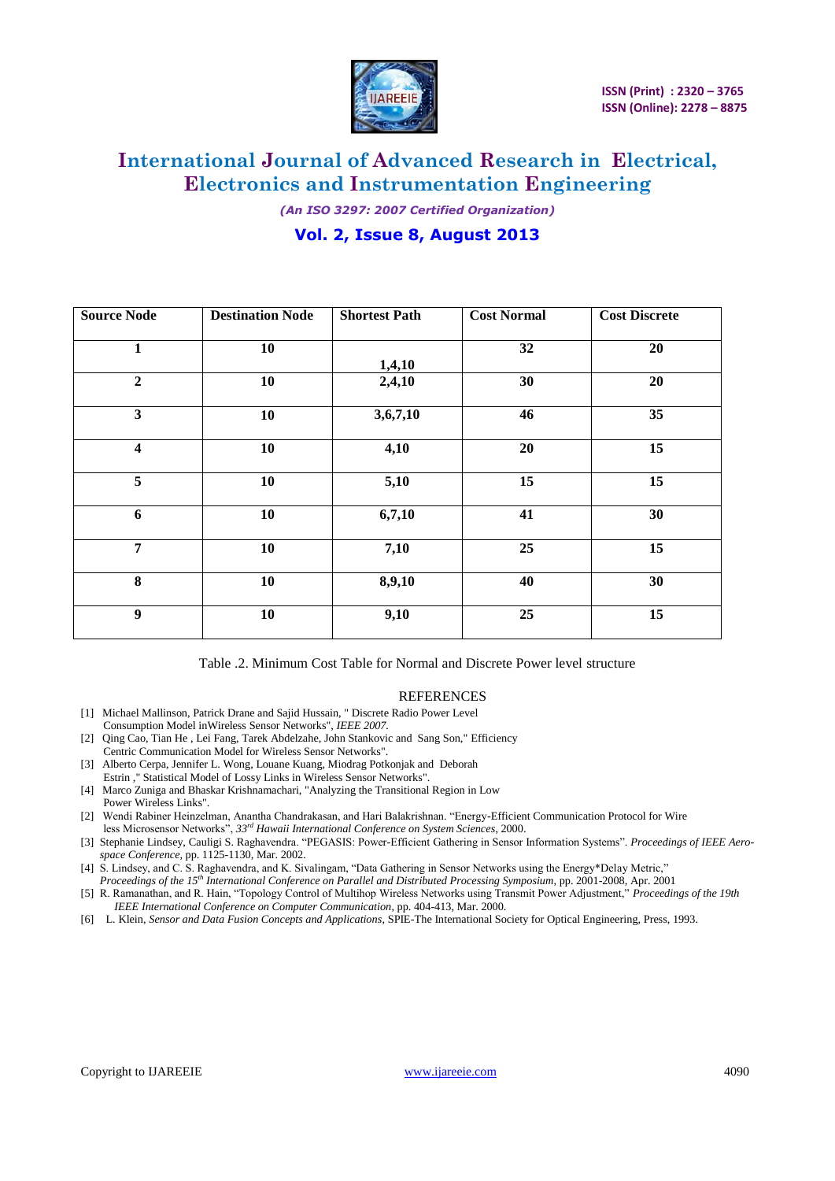

*(An ISO 3297: 2007 Certified Organization)*

### **Vol. 2, Issue 8, August 2013**

| <b>Source Node</b>      | <b>Destination Node</b> | <b>Shortest Path</b> | <b>Cost Normal</b> | <b>Cost Discrete</b> |
|-------------------------|-------------------------|----------------------|--------------------|----------------------|
| 1                       | 10                      | 1,4,10               | 32                 | 20                   |
| $\overline{2}$          | 10                      | 2,4,10               | 30                 | 20                   |
| $\overline{\mathbf{3}}$ | 10                      | 3,6,7,10             | 46                 | 35                   |
| $\overline{\mathbf{4}}$ | 10                      | 4,10                 | 20                 | 15                   |
| 5                       | 10                      | 5,10                 | 15                 | 15                   |
| 6                       | 10                      | 6,7,10               | 41                 | 30                   |
| $\overline{7}$          | 10                      | 7,10                 | 25                 | 15                   |
| 8                       | 10                      | 8,9,10               | 40                 | 30                   |
| 9                       | 10                      | 9,10                 | 25                 | 15                   |

Table .2. Minimum Cost Table for Normal and Discrete Power level structure

#### **REFERENCES**

- [1] Michael Mallinson, Patrick Drane and Sajid Hussain, " Discrete Radio Power Level Consumption Model inWireless Sensor Networks", *IEEE 2007.*
- [2] Qing Cao, Tian He , Lei Fang, Tarek Abdelzahe, John Stankovic and Sang Son," Efficiency Centric Communication Model for Wireless Sensor Networks".
- [3] Alberto Cerpa, Jennifer L. Wong, Louane Kuang, Miodrag Potkonjak and Deborah Estrin ," Statistical Model of Lossy Links in Wireless Sensor Networks".
- [4] Marco Zuniga and Bhaskar Krishnamachari, "Analyzing the Transitional Region in Low Power Wireless Links".
- [2] Wendi Rabiner Heinzelman, Anantha Chandrakasan, and Hari Balakrishnan. "Energy-Efficient Communication Protocol for Wire less Microsensor Networks", *33rd Hawaii International Conference on System Sciences*, 2000.
- [3] Stephanie Lindsey, Cauligi S. Raghavendra. "PEGASIS: Power-Efficient Gathering in Sensor Information Systems". *Proceedings of IEEE Aerospace Conference,* pp. 1125-1130, Mar. 2002.
- [4] S. Lindsey, and C. S. Raghavendra, and K. Sivalingam, "Data Gathering in Sensor Networks using the Energy\*Delay Metric," *Proceedings of the 15th International Conference on Parallel and Distributed Processing Symposium*, pp. 2001-2008, Apr. 2001
- [5] R. Ramanathan, and R. Hain, "Topology Control of Multihop Wireless Networks using Transmit Power Adjustment," *Proceedings of the 19th IEEE International Conference on Computer Communication*, pp. 404-413, Mar. 2000.
- [6] L. Klein, *Sensor and Data Fusion Concepts and Applications*, SPIE-The International Society for Optical Engineering, Press, 1993.